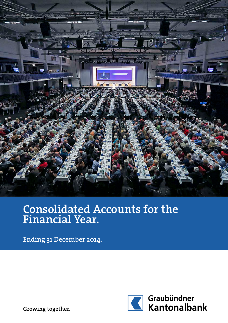

# Consolidated Accounts for the Financial Year.

Ending 31 December 2014.



Growing together.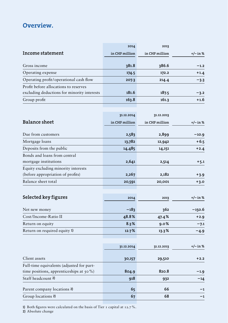## Overview.

|                                             | 2014           | 2013           |            |
|---------------------------------------------|----------------|----------------|------------|
| Income statement                            | in CHF million | in CHF million | $+/-$ in % |
|                                             |                |                |            |
| Gross income                                | 381.8          | 386.6          | $-1.2$     |
| Operating expense                           | 174.5          | 172.2          | $+1.4$     |
| Operating profit/operational cash flow      | 207.3          | 214.4          | $-3.3$     |
| Profit before allocations to reserves       |                |                |            |
| excluding deductions for minority interests | 181.6          | 187.5          | $-3.2$     |
| Group profit                                | 163.8          | 161.3          | $+1.6$     |
|                                             |                |                |            |
|                                             | 31.12.2014     | 31.12.2013     |            |
| <b>Balance sheet</b>                        | in CHF million | in CHF million | $+/-$ in % |
| Due from customers                          | 2,583          | 2,899          | $-10.9$    |
| Mortgage loans                              | 13,782         | 12,942         | $+6.5$     |
| Deposits from the public                    | 14,485         | 14,151         | $+2.4$     |
| Bonds and loans from central                |                |                |            |
| mortgage institutions                       | 2,641          | 2,514          | $+5.1$     |
| Equity excluding minority interests         |                |                |            |
| (before appropriation of profits)           | 2,267          | 2,182          | $+3.9$     |
| Balance sheet total                         | 20,591         | 20,001         | $+3.0$     |
|                                             |                |                |            |
| Selected key figures                        | 2014           | 2013           | +/– in %   |
| Net new money                               | $-183$         | 362            | $-150.6$   |
| Cost/Income-Ratio II                        | 48.8%          | 47.4%          | $+2.9$     |
| Return on equity                            | 8.3%           | 9.0%           | $-7.1$     |
| Return on required equity 1)                | 12.7%          | 13.3%          |            |
|                                             |                |                | $-4.9$     |
|                                             |                |                |            |
|                                             | 31.12.2014     | 31.12.2013     | $+/-$ in % |
| Client assets                               | 30,157         | 29,510         | $+2.2$     |
| Full-time equivalents (adjusted for part-   |                |                |            |
| time positions, apprenticeships at $50\%$ ) | 804.9          | 820.8          | $-1.9$     |
| Staff headcount 2)                          | 918            | 932            | $-14$      |
| Parent company locations 2)                 | 65             | 66             | -1         |
| Group locations 2)                          | 67             | 68             | $-1$       |
|                                             |                |                |            |

1) Both figures were calculated on the basis of Tier 1 capital at 12.7 %.

2) Absolute change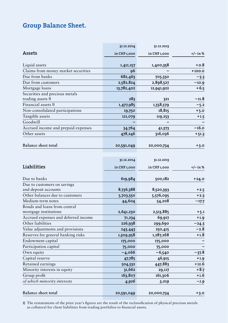### Group Balance Sheet.

|                                     | 31.12.2014   | 31.12.2013   |          |
|-------------------------------------|--------------|--------------|----------|
| Assets                              | in CHF 1,000 | in CHF 1,000 | +/-in%   |
|                                     |              |              |          |
| Liquid assets                       | 1,411,157    | 1,400,358    | $+0.8$   |
| Claims from money market securities | 96           |              | $+100.0$ |
| Due from banks                      | 682,463      | 705,550      | $-3.3$   |
| Due from customers                  | 2,582,824    | 2,898,527    | $-10.9$  |
| Mortgage loans                      | 13,782,402   | 12,941,922   | $+6.5$   |
| Securities and precious metals      |              |              |          |
| trading assets 1)                   | 283          | 321          | $-11.8$  |
| Financial assets 1)                 | 1,477,985    | 1,558,579    | $-5.2$   |
| Non-consolidated participations     | 19,750       | 18,815       | $+5.0$   |
| Tangible assets                     | 121,079      | 119,253      | $+1.5$   |
| Goodwill                            |              |              |          |
| Accrued income and prepaid expenses | 34,764       | 41,373       | $-16.0$  |
| Other assets                        | 478,246      | 316,036      | $+51.3$  |
|                                     |              |              |          |
| <b>Balance sheet total</b>          | 20,591,049   | 20,000,734   | $+3.0$   |

|                                      | 31.12.2014   | 31.12.2013   |            |
|--------------------------------------|--------------|--------------|------------|
|                                      |              |              |            |
| Liabilities                          | in CHF 1,000 | in CHF 1,000 | $+/-$ in % |
|                                      |              |              |            |
| Due to banks                         | 619,984      | 500,182      | $+24.0$    |
| Due to customers on savings          |              |              |            |
| and deposit accounts                 | 8,736,388    | 8,520,393    | $+2.5$     |
| Other balances due to customers      | 5,703,550    | 5,576,095    | $+2.3$     |
| Medium-term notes                    | 44,604       | 54,208       | $-17.7$    |
| Bonds and loans from central         |              |              |            |
| mortgage institutions                | 2,641,230    | 2,513,885    | $+5.1$     |
| Accrued expenses and deferred income | 71,234       | 69,917       | $+1.9$     |
| Other liabilities                    | 226,938      | 299,690      | $-24.3$    |
| Value adjustments and provisions     | 243,443      | 250,415      | $-2.8$     |
| Reserves for general banking risks   | 1,309,958    | 1,287,268    | $+1.8$     |
| Endowment capital                    | 175,000      | 175,000      |            |
| Participation capital                | 75,000       | 75,000       |            |
| Own equity                           | $-4,066$     | $-6,540$     | $-37.8$    |
| Capital reserve                      | 47,785       | 46,915       | $+1.9$     |
| Retained earnings                    | 504,532      | 447,883      | $+12.6$    |
| Minority interests in equity         | 31,662       | 29,117       | $+8.7$     |
| Group profit                         | 163,807      | 161,306      | $+1.6$     |
| of which minority interests          | 4,926        | 5,019        | $-1.9$     |
|                                      |              |              |            |
| Balance sheet total                  | 20,591,049   | 20,000,734   | $+3.0$     |

1) The restatements of the prior year's figures are the result of the reclassification of physical precious metals as collateral for client liabilities from trading portfolios to financial assets.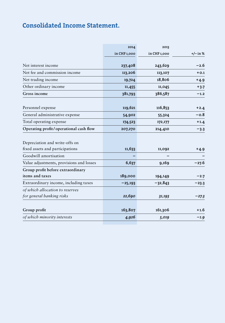## Consolidated Income Statement.

| 2014         | 2013                         |                              |
|--------------|------------------------------|------------------------------|
| in CHF 1,000 | in CHF 1,000                 | +/– in %                     |
|              |                              | $-2.6$                       |
|              |                              | $+0.1$                       |
|              |                              |                              |
|              |                              | $+4.9$                       |
| 11,455       | 11,045                       | $+3.7$                       |
| 381,793      | 386,587                      | $-1.2$                       |
|              |                              |                              |
| 119,621      | 116,853                      | $+2.4$                       |
| 54,902       | 55,324                       | $-0.8$                       |
| 174,523      | 172,177                      | $+1.4$                       |
| 207,270      | 214,410                      | $-3.3$                       |
|              |                              |                              |
|              |                              |                              |
| 11,633       | 11,092                       | +4.9                         |
|              |                              |                              |
| 6,637        | 9,169                        | $-27.6$                      |
|              |                              |                              |
| 189,000      | 194,149                      | $-2.7$                       |
| $-25,193$    | $-32,843$                    | $-23.3$                      |
|              |                              |                              |
| 22,690       | 31,193                       | $-27.3$                      |
|              |                              |                              |
| 163,807      | 161,306                      | $+1.6$                       |
| 4,926        | 5,019                        | $-1.9$                       |
|              | 237,408<br>113,206<br>19,724 | 243,629<br>113,107<br>18,806 |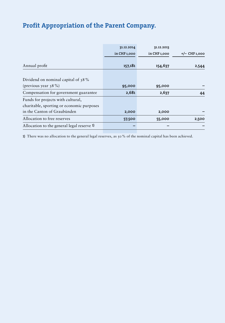# Profit Appropriation of the Parent Company.

|                                            | 31.12.2014   | 31.12.2013   |                 |
|--------------------------------------------|--------------|--------------|-----------------|
|                                            | in CHF 1,000 | in CHF 1,000 | $+/-$ CHF 1,000 |
|                                            |              |              |                 |
| Annual profit                              | 157,181      | 154,637      | 2,544           |
|                                            |              |              |                 |
| Dividend on nominal capital of 38%         |              |              |                 |
| (previous year $38\%$ )                    | 95,000       | 95,000       |                 |
| Compensation for government guarantee      | 2,681        | 2,637        | 44              |
| Funds for projects with cultural,          |              |              |                 |
| charitable, sporting or economic purposes  |              |              |                 |
| in the Canton of Graubünden                | 2,000        | 2,000        |                 |
| Allocation to free reserves                | 57,500       | 55,000       | 2,500           |
| Allocation to the general legal reserve 1) |              |              |                 |

1) There was no allocation to the general legal reserves, as 50% of the nominal capital has been achieved.